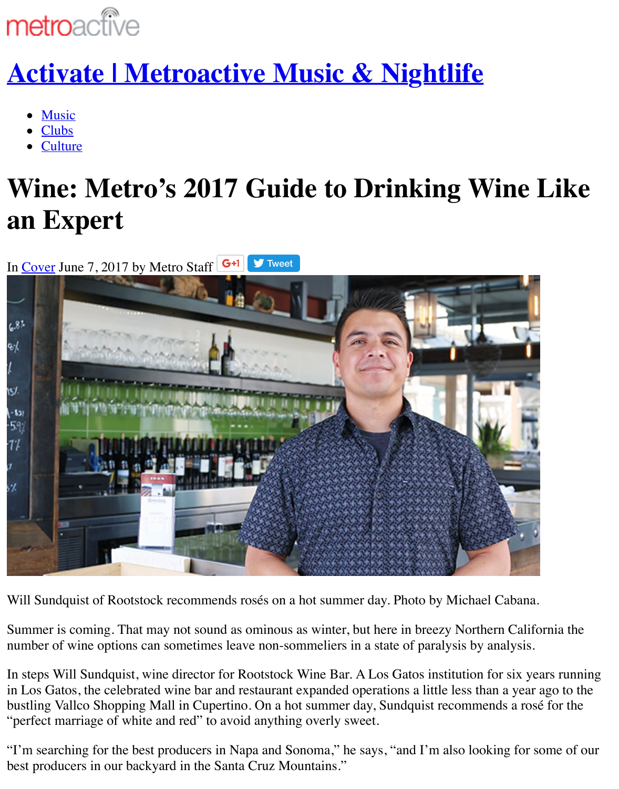- Music
- [Clubs](http://www.metroactive.com/)
- **Culture**

# **[Wine: Metro's 2017 Guide to Drinking W](http://activate.metroactive.com/)ine an [Exp](http://activate.metroactive.com/topics/music/)ert**

In Cover June 7, 2017 by Metro Staff  $\begin{array}{|c|c|c|}\n\hline\n\end{array}$  Tweet  $6.81$ B/ W  $-521$  $-59$ -17 s1

Will Sundquist of Rootstock recommends rosés on a hot summer day. Photo by Michael Caban

Summer is coming. That may not sound as ominous as winter, but here in breezy Northern Cal number of wine options can sometimes leave non-sommeliers in a state of paralysis by analysi

In steps Will Sundquist, wine director for Rootstock Wine Bar. A Los Gatos institution for six in Los Gatos, the celebrated wine bar and restaurant expanded operations a little less than a year bustling Vallco Shopping Mall in Cupertino. On a hot summer day, Sundquist recommends a r "perfect marriage of white and red" to avoid anything overly sweet.

"I'm searching for the best producers in Napa and Sonoma," he says, "and I'm also looking fo best producers in our backyard in the Santa Cruz Mountains."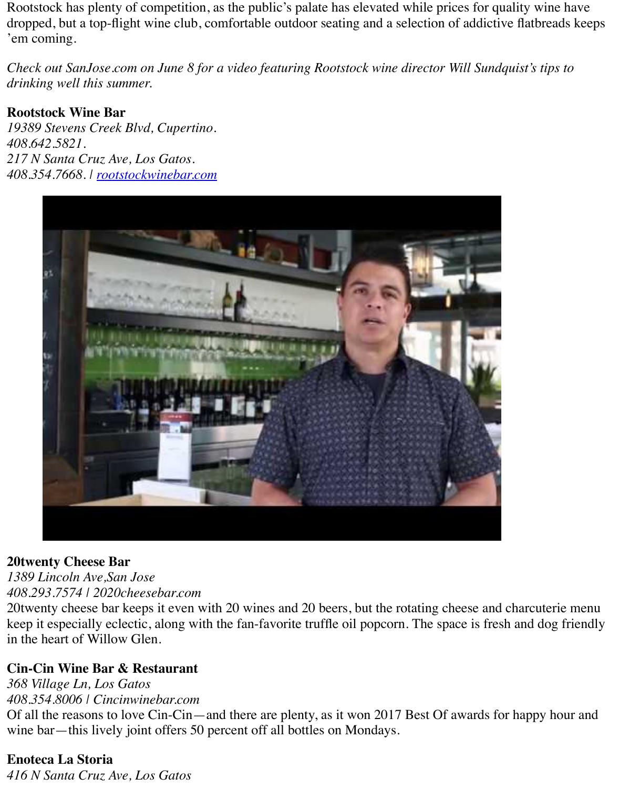#### **Rootstock Wine Bar**

*19389 Stevens Creek Blvd, Cupertino. 408.642.5821. 217 N Santa Cruz Ave, Los Gatos. 408.354.7668. | rootstockwinebar.com*



#### **20twenty Cheese Bar**

*1389 Lincoln Ave,San Jose 408.293.7574 | 2020cheesebar.com*

20twe[nty cheese bar keeps it even with 20 wines and 20 beers, but the rotating cheese and](http://www.youtube.com/watch?v=_x5txIpDJEY) char keep it especially eclectic, along with the fan-favorite truffle oil popcorn. The space is fresh and in the heart of Willow Glen.

#### **Cin-Cin Wine Bar & Restaurant**

*368 Village Ln, Los Gatos 408.354.8006 | Cincinwinebar.com* Of all the reasons to love Cin-Cin—and there are plenty, as it won 2017 Best Of awards for ha wine bar—this lively joint offers 50 percent off all bottles on Mondays.

## **Enoteca La Storia**

*416 N Santa Cruz Ave, Los Gatos*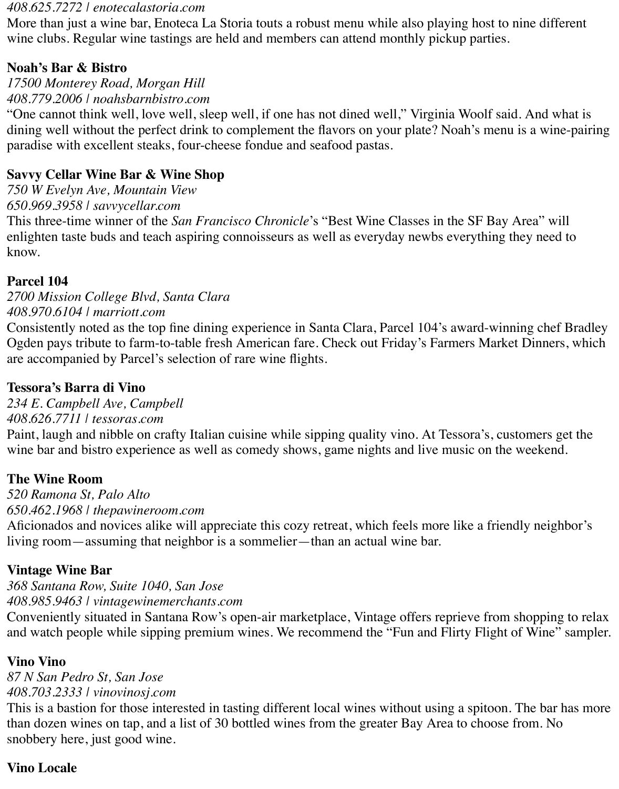#### *408.625.7272 | enotecalastoria.com*

More than just a wine bar, Enoteca La Storia touts a robust menu while also playing host to nine different wine clubs. Regular wine tastings are held and members can attend monthly pickup parties.

## **Noah's Bar & Bistro**

*17500 Monterey Road, Morgan Hill*

## *408.779.2006 | noahsbarnbistro.com*

"One cannot think well, love well, sleep well, if one has not dined well," Virginia Woolf said. And what is dining well without the perfect drink to complement the flavors on your plate? Noah's menu is a wine-pairing paradise with excellent steaks, four-cheese fondue and seafood pastas.

## **Savvy Cellar Wine Bar & Wine Shop**

*750 W Evelyn Ave, Mountain View*

*650.969.3958 | savvycellar.com*

This three-time winner of the *San Francisco Chronicle*'s "Best Wine Classes in the SF Bay Area" will enlighten taste buds and teach aspiring connoisseurs as well as everyday newbs everything they need to know.

## **Parcel 104**

*2700 Mission College Blvd, Santa Clara 408.970.6104 | marriott.com*

Consistently noted as the top fine dining experience in Santa Clara, Parcel 104's award-winning chef Bradley Ogden pays tribute to farm-to-table fresh American fare. Check out Friday's Farmers Market Dinners, which are accompanied by Parcel's selection of rare wine flights.

## **Tessora's Barra di Vino**

*234 E. Campbell Ave, Campbell 408.626.7711 | tessoras.com*

Paint, laugh and nibble on crafty Italian cuisine while sipping quality vino. At Tessora's, customers get the wine bar and bistro experience as well as comedy shows, game nights and live music on the weekend.

## **The Wine Room**

*520 Ramona St, Palo Alto 650.462.1968 | thepawineroom.com*

Aficionados and novices alike will appreciate this cozy retreat, which feels more like a friendly neighbor's living room—assuming that neighbor is a sommelier—than an actual wine bar.

## **Vintage Wine Bar**

*368 Santana Row, Suite 1040, San Jose 408.985.9463 | vintagewinemerchants.com*

Conveniently situated in Santana Row's open-air marketplace, Vintage offers reprieve from shopping to relax and watch people while sipping premium wines. We recommend the "Fun and Flirty Flight of Wine" sampler.

## **Vino Vino**

*87 N San Pedro St, San Jose 408.703.2333 | vinovinosj.com*

This is a bastion for those interested in tasting different local wines without using a spitoon. The bar has more than dozen wines on tap, and a list of 30 bottled wines from the greater Bay Area to choose from. No snobbery here, just good wine.

## **Vino Locale**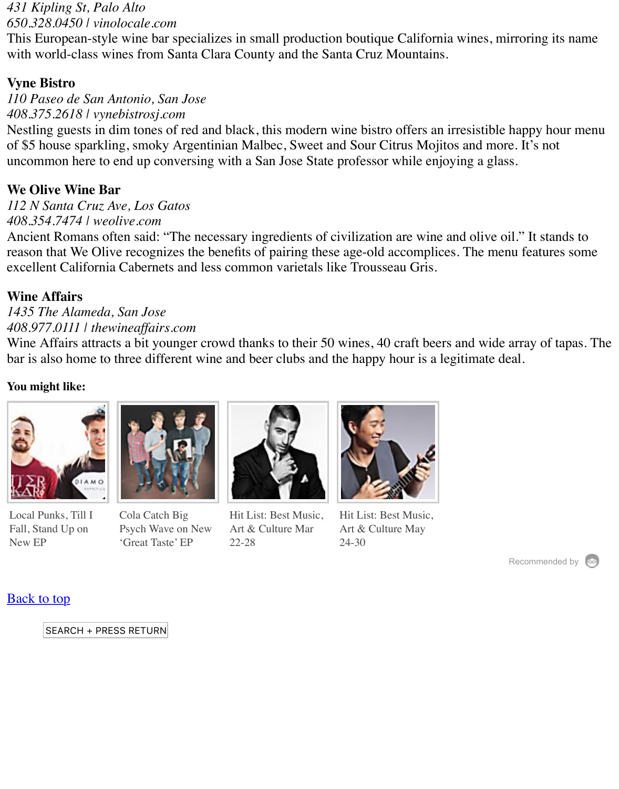#### *408.375.2618 | vynebistrosj.com*

Nestling guests in dim tones of red and black, this modern wine bistro offers an irresistible happy of \$5 house sparkling, smoky Argentinian Malbec, Sweet and Sour Citrus Mojitos and more. I uncommon here to end up conversing with a San Jose State professor while enjoying a glass.

#### **We Olive Wine Bar**

*112 N Santa Cruz Ave, Los Gatos 408.354.7474 | weolive.com*

Ancient Romans often said: "The necessary ingredients of civilization are wine and olive oil." reason that We Olive recognizes the benefits of pairing these age-old accomplices. The menu f excellent California Cabernets and less common varietals like Trousseau Gris.

#### **Wine Affairs**

*1435 The Alameda, San Jose 408.977.0111 | thewineaffairs.com*

Wine Affairs attracts a bit younger crowd thanks to their 50 wines, 40 craft beers and wide array bar is also home to three different wine and beer clubs and the happy hour is a legitimate deal.

#### **You might like:**



[Local Punks, Till I](http://activate.metroactive.com/2017/04/local-punks-till-i-fall-stand-up-on-new-ep/) Fall, Stand Up on New EP



Cola Catch Big [Psych Wave on New](http://activate.metroactive.com/2017/03/cola-catch-big-psych-wave-on-new-great-taste-ep/) 'Great Taste' EP



[Hit List: Best Music,](http://activate.metroactive.com/2017/03/hit-list-best-music-art-culture-mar-22-28/) Art & Culture Mar 22-28



[Hit List: Best Music,](http://activate.metroactive.com/2017/05/hit-list-best-music-art-culture-may-24-30/) Art & Culture May 24-30

Reco

#### **Back to top**

#### [SEARCH + PRE](http://activate.metroactive.com/2017/04/local-punks-till-i-fall-stand-up-on-new-ep/)[SS RETURN](http://activate.metroactive.com/2017/03/cola-catch-big-psych-wave-on-new-great-taste-ep/)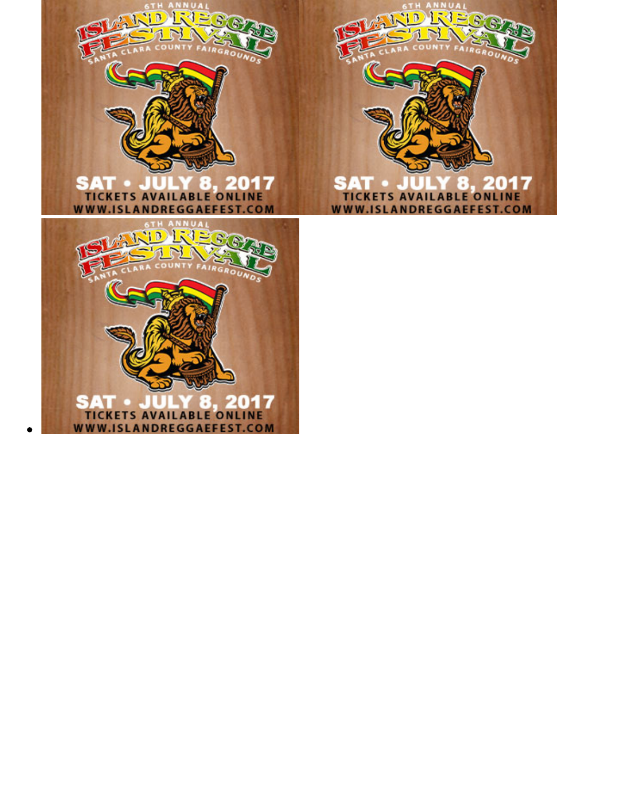



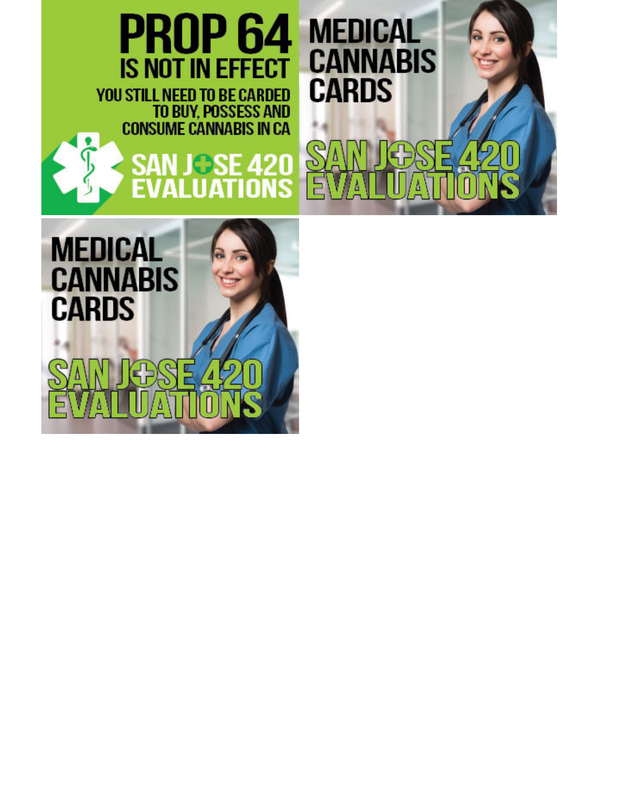

9.

 $\mathbf{v}$ 

Ą

f,  $\overline{A}$  Ω

#### Š Œ ŋ N Ţ. Ε 0 A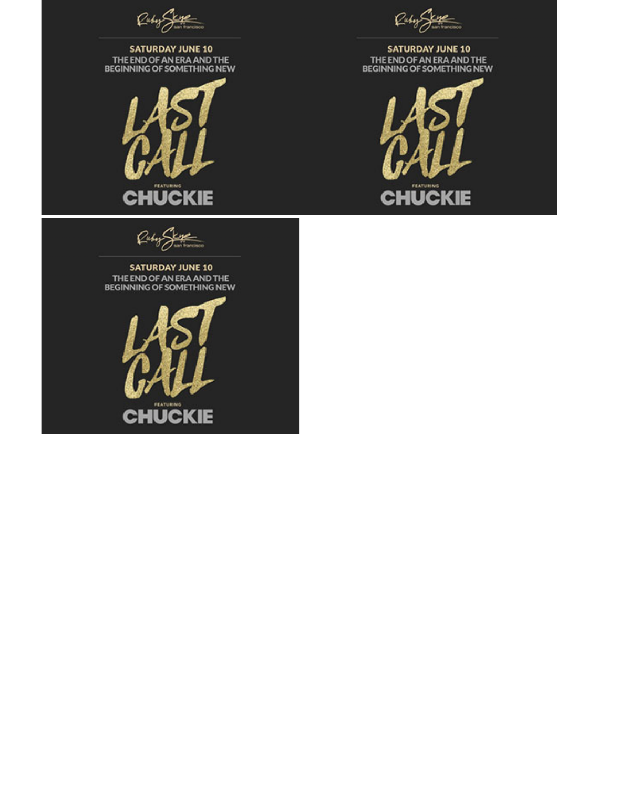



Ruby State

## **SATURDAY JUNE 10** THE END OF AN ERA AND THE<br>BEGINNING OF SOMETHING NEW

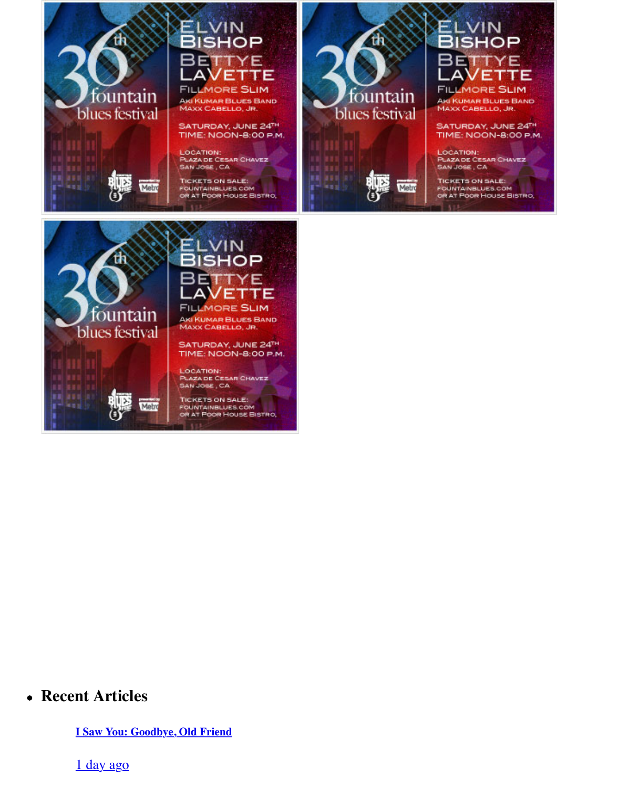

**MAXX CABELLO, JR.** 

SATURDAY, JUNE 24TH TIME: NOON-8:00 P.M.

LOCATION: **PLAZA DE CESAR CHAVEZ** SAN JOSE, CA

**TICKETS ON SALE:** FOUNTAINBLUES.COM OR AT FOOR HOUSE BISTRO,



**MAXX CABELLO, JR.** 

SATURDAY, JUNE 24<br>TIME: NOON-8:00

**LOCATION: PLAZA DE CESAR CHAVEZ** SAN JOSE, CA

**TICKETS ON SALE:** FOUNTAINBLUES.COM OR AT FOOR HOUSE BIST!



## **Recent Articles**

**I Saw You: Goodbye, Old Friend**

1 day ago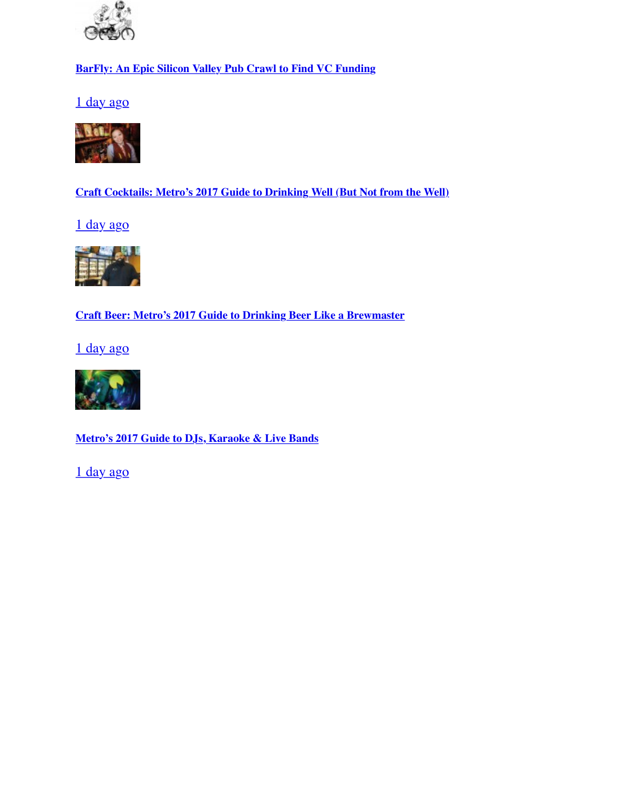



**[Craft Cocktails: Metro's 2017 Guide to Drinking Well \(But Not from the Well\)](http://activate.metroactive.com/2017/06/barfly-an-epic-silicon-valley-pub-crawl-to-find-vc-funding/)**

1 day ago



**[Craft Beer: Metro's 2017 Guide to Drinking Beer Like a Brewmaster](http://activate.metroactive.com/2017/06/craft-cocktails-metros-2017-guide-to-drinking-well-but-not-from-the-well/)**

1 day ago



**[Metro's 2017 Guide to DJs, Karaoke & Live Bands](http://activate.metroactive.com/2017/06/craft-beer-metros-2017-guide-to-drinking-beer-like-a-brewmaster/)**

[1 day ago](http://activate.metroactive.com/2017/06/119382/)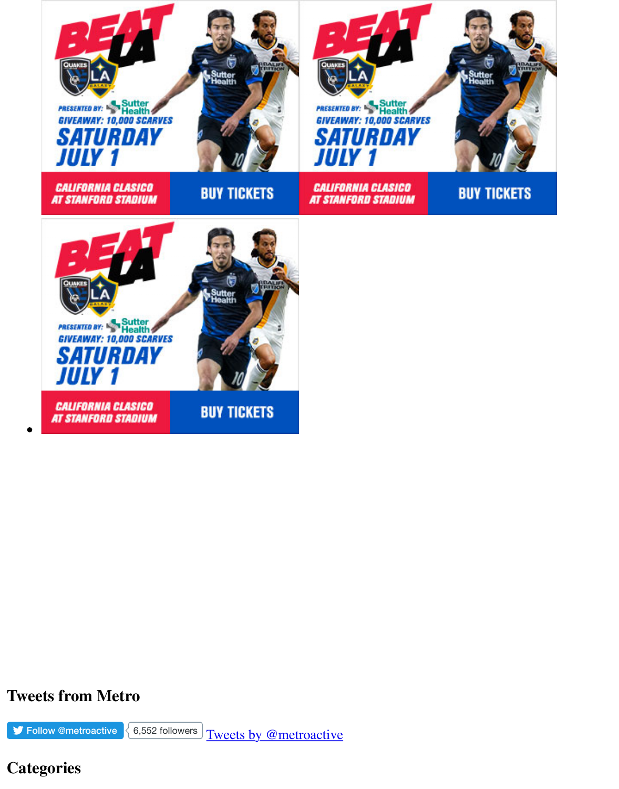

## **Tweets from Metro**

 $\blacktriangleright$  Follow @metroactive  $\bigg\{6,552 \text{ follows}\bigg\}$  Tweets by @metroactive

# **Categories**